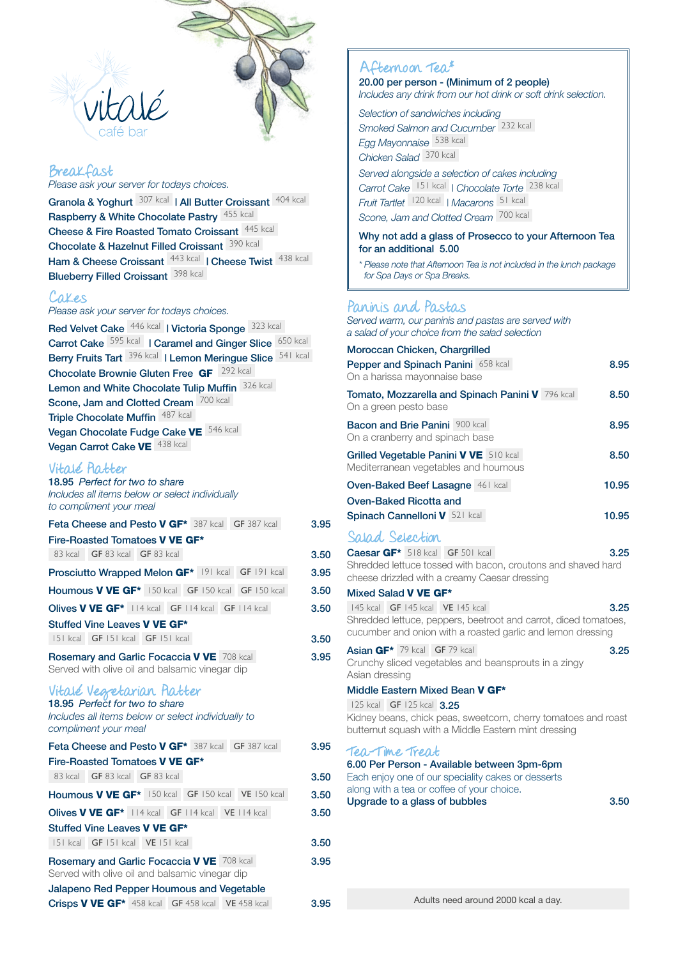

#### Breakfast *Please ask your server for todays choices.*

Granola & Yoghurt 307 kcal | All Butter Croissant 404 kcal Raspberry & White Chocolate Pastry 455 kcal Cheese & Fire Roasted Tomato Croissant 445 kcal Chocolate & Hazelnut Filled Croissant 390 kcal Ham & Cheese Croissant 443 kcal | Cheese Twist 438 kcal Blueberry Filled Croissant 398 kcal

### Cakes

*Please ask your server for todays choices.*

Red Velvet Cake <sup>446 kcal</sup> | Victoria Sponge <sup>323 kcal</sup> Carrot Cake <sup>595 kcal</sup> | Caramel and Ginger Slice 650 kcal Berry Fruits Tart <sup>396 kcal</sup> | Lemon Meringue Slice <sup>541 kcal</sup> Chocolate Brownie Gluten Free GF 292 kcal Lemon and White Chocolate Tulip Muffin 326 kcal Scone, Jam and Clotted Cream 700 kcal Triple Chocolate Muffin 487 kcal Vegan Chocolate Fudge Cake VE 546 kcal Vegan Carrot Cake VE 438 kcal

### Vitalé Platter

| 18.95 Perfect for two to share<br>Includes all items below or select individually<br>to compliment your meal                              |      |
|-------------------------------------------------------------------------------------------------------------------------------------------|------|
| Feta Cheese and Pesto V GF* 387 kcal GF 387 kcal                                                                                          | 3.95 |
| Fire-Roasted Tomatoes V VE GF*                                                                                                            |      |
| 83 kcal GF 83 kcal GF 83 kcal                                                                                                             | 3.50 |
| Prosciutto Wrapped Melon GF* 191 kcal GF 191 kcal                                                                                         | 3.95 |
| Houmous V VE GF <sup>*</sup> 150 kcal GF 150 kcal GF 150 kcal                                                                             | 3.50 |
| <b>Olives V VE GF*</b> 114 kcal GF 114 kcal GF 114 kcal                                                                                   | 3.50 |
| Stuffed Vine Leaves V VE GF*                                                                                                              |      |
| 151 kcal GF 151 kcal GF 151 kcal                                                                                                          | 3.50 |
| Rosemary and Garlic Focaccia V VE 708 kcal<br>Served with olive oil and balsamic vinegar dip                                              | 3.95 |
| Vitale Vegretarian Patter<br>18.95 Perfect for two to share<br>Includes all items below or select individually to<br>compliment your meal |      |
| Feta Cheese and Pesto V GF* 387 kcal GF 387 kcal                                                                                          | 3.95 |
| Fire-Roasted Tomatoes V VE GF*                                                                                                            |      |
| 83 kcal GF 83 kcal GF 83 kcal                                                                                                             | 3.50 |
| Houmous V VE GF <sup>*</sup> 150 kcal GF 150 kcal VE 150 kcal                                                                             | 3.50 |
| Olives V VE GF <sup>*</sup>   14 kcal   GF   14 kcal   VE   14 kcal                                                                       | 3.50 |
| Stuffed Vine Leaves V VE GF*                                                                                                              |      |
| 151 kcal GF 151 kcal VE 151 kcal                                                                                                          | 3.50 |
| Rosemary and Garlic Focaccia V VE 708 kcal<br>Served with olive oil and balsamic vinegar dip                                              | 3.95 |
| Jalapeno Red Pepper Houmous and Vegetable                                                                                                 |      |
| Crisps V VE GF* 458 kcal GF 458 kcal VE 458 kcal                                                                                          | 3.95 |

## Afternoon Tea\*

20.00 per person - (Minimum of 2 people) *Includes any drink from our hot drink or soft drink selection.*

*Selection of sandwiches including*

*Smoked Salmon and Cucumber* 232 kcal *Egg Mayonnaise* 538 kcal

*Chicken Salad* 370 kcal

*Served alongside a selection of cakes including Carrot Cake* 151 kcal *| Chocolate Torte* 238 kcal *Fruit Tartlet* 120 kcal *| Macarons* 51 kcal

*Scone, Jam and Clotted Cream* 700 kcal

#### Why not add a glass of Prosecco to your Afternoon Tea for an additional 5.00

*\* Please note that Afternoon Tea is not included in the lunch package for Spa Days or Spa Breaks.*

## Paninis and Pastas

*Served warm, our paninis and pastas are served with a salad of your choice from the salad selection*

| Moroccan Chicken, Chargrilled                                                                                                                                                                      |       |
|----------------------------------------------------------------------------------------------------------------------------------------------------------------------------------------------------|-------|
| Pepper and Spinach Panini 658 kcal<br>On a harissa mayonnaise base                                                                                                                                 | 8.95  |
| Tomato, Mozzarella and Spinach Panini V 796 kcal<br>On a green pesto base                                                                                                                          | 8.50  |
| <b>Bacon and Brie Panini</b> 900 kcal<br>On a cranberry and spinach base                                                                                                                           | 8.95  |
| Grilled Vegetable Panini V VE 510 kcal<br>Mediterranean vegetables and houmous                                                                                                                     | 8.50  |
| <b>Oven-Baked Beef Lasagne 461 kcal</b>                                                                                                                                                            | 10.95 |
| Oven-Baked Ricotta and                                                                                                                                                                             |       |
| Spinach Cannelloni V 521 kcal                                                                                                                                                                      | 10.95 |
| Salad Selection                                                                                                                                                                                    |       |
| Caesar GF* 518 kcal GF 501 kcal<br>Shredded lettuce tossed with bacon, croutons and shaved hard<br>cheese drizzled with a creamy Caesar dressing                                                   | 3.25  |
| Mixed Salad V VE GF*                                                                                                                                                                               |       |
| 145 kcal <b>GF</b> 145 kcal <b>VE</b> 145 kcal<br>Shredded lettuce, peppers, beetroot and carrot, diced tomatoes,<br>cucumber and onion with a roasted garlic and lemon dressing                   | 3.25  |
| Asian GF* 79 kcal GF 79 kcal<br>Crunchy sliced vegetables and beansprouts in a zingy<br>Asian dressing                                                                                             | 3.25  |
| Middle Eastern Mixed Bean V GF*                                                                                                                                                                    |       |
| 125 kcal GF 125 kcal 3.25<br>Kidney beans, chick peas, sweetcorn, cherry tomatoes and roast<br>butternut squash with a Middle Eastern mint dressing                                                |       |
| Tea-Time Treat<br>6.00 Per Person - Available between 3pm-6pm<br>Each enjoy one of our speciality cakes or desserts<br>along with a tea or coffee of your choice.<br>Upgrade to a glass of bubbles | 3.50  |
|                                                                                                                                                                                                    |       |
|                                                                                                                                                                                                    |       |
|                                                                                                                                                                                                    |       |